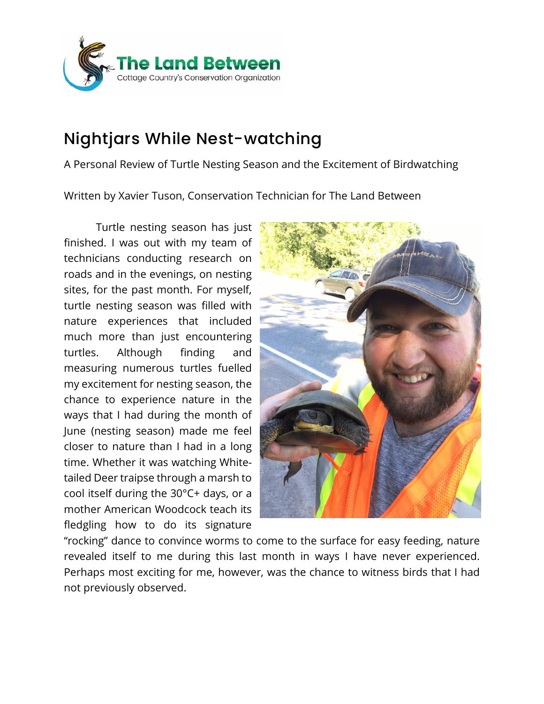

## Nightjars While Nest-watching

A Personal Review of Turtle Nesting Season and the Excitement of Birdwatching

Written by Xavier Tuson, Conservation Technician for The Land Between

Turtle nesting season has just finished. I was out with my team of technicians conducting research on roads and in the evenings, on nesting sites, for the past month. For myself, turtle nesting season was filled with nature experiences that included much more than just encountering turtles. Although finding and measuring numerous turtles fuelled my excitement for nesting season, the chance to experience nature in the ways that I had during the month of June (nesting season) made me feel closer to nature than I had in a long time. Whether it was watching Whitetailed Deer traipse through a marsh to cool itself during the 30°C+ days, or a mother American Woodcock teach its fledgling how to do its signature



"rocking" dance to convince worms to come to the surface for easy feeding, nature revealed itself to me during this last month in ways I have never experienced. Perhaps most exciting for me, however, was the chance to witness birds that I had not previously observed.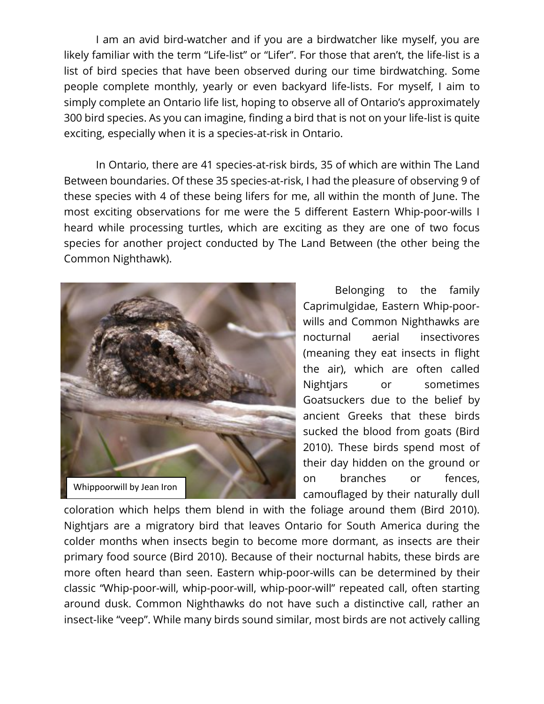I am an avid bird-watcher and if you are a birdwatcher like myself, you are likely familiar with the term "Life-list" or "Lifer". For those that aren't, the life-list is a list of bird species that have been observed during our time birdwatching. Some people complete monthly, yearly or even backyard life-lists. For myself, I aim to simply complete an Ontario life list, hoping to observe all of Ontario's approximately 300 bird species. As you can imagine, finding a bird that is not on your life-list is quite exciting, especially when it is a species-at-risk in Ontario.

In Ontario, there are 41 species-at-risk birds, 35 of which are within The Land Between boundaries. Of these 35 species-at-risk, I had the pleasure of observing 9 of these species with 4 of these being lifers for me, all within the month of June. The most exciting observations for me were the 5 different Eastern Whip-poor-wills I heard while processing turtles, which are exciting as they are one of two focus species for another project conducted by The Land Between (the other being the Common Nighthawk).



Belonging to the family Caprimulgidae, Eastern Whip-poorwills and Common Nighthawks are nocturnal aerial insectivores (meaning they eat insects in flight the air), which are often called Nightjars or sometimes Goatsuckers due to the belief by ancient Greeks that these birds sucked the blood from goats (Bird 2010). These birds spend most of their day hidden on the ground or on branches or fences, camouflaged by their naturally dull

coloration which helps them blend in with the foliage around them (Bird 2010). Nightjars are a migratory bird that leaves Ontario for South America during the colder months when insects begin to become more dormant, as insects are their primary food source (Bird 2010). Because of their nocturnal habits, these birds are more often heard than seen. Eastern whip-poor-wills can be determined by their classic "Whip-poor-will, whip-poor-will, whip-poor-will" repeated call, often starting around dusk. Common Nighthawks do not have such a distinctive call, rather an insect-like "veep". While many birds sound similar, most birds are not actively calling